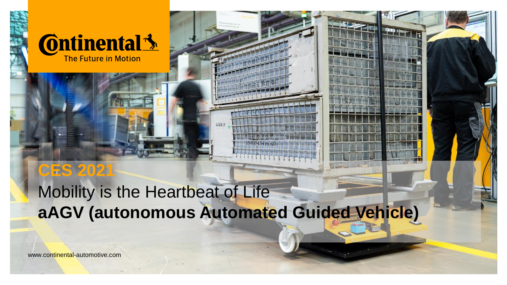

#### **CES 2021 CES 2021**

# Mobility is the Heartbeat of Life **aAGV (autonomous Automated Guided Vehicle)**

Bitte decken Sie die sie die sie die schraffierte Fläche mit einem Bild ab. Der Erland ab. Der Erland ab. Der Please cover the shaded area with a picture of the shaded area with a picture.  $\leftarrow$  (and  $\left\{ \cdot \right\}$ 

www.continental-automotive.com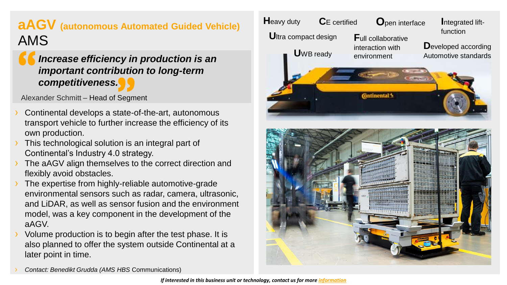### **aAGV (autonomous Automated Guided Vehicle)** AMS

### *Increase efficiency in production is an important contribution to long-term competitiveness.*

Alexander Schmitt – Head of Segment

- Continental develops a state-of-the-art, autonomous transport vehicle to further increase the efficiency of its own production.
- This technological solution is an integral part of Continental's Industry 4.0 strategy.
- The aAGV align themselves to the correct direction and flexibly avoid obstacles.
- The expertise from highly-reliable automotive-grade environmental sensors such as radar, camera, ultrasonic, and LiDAR, as well as sensor fusion and the environment model, was a key component in the development of the aAGV.
- Volume production is to begin after the test phase. It is also planned to offer the system outside Continental at a later point in time.



› *Contact: Benedikt Grudda (AMS HBS* Communications)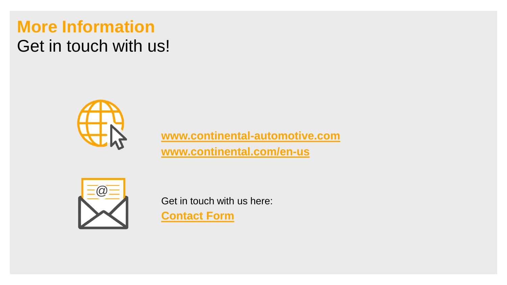## **More Information** Get in touch with us!



**[www.continental-automotive.com](http://www.continental.com/en-us) [www.continental.com/en-us](http://www.continental.com/en-us)**



Get in touch with us here: **[Contact Form](https://www.continental-automotive.com/en-gl/Passenger-Cars/General-Information/General-Contact)**